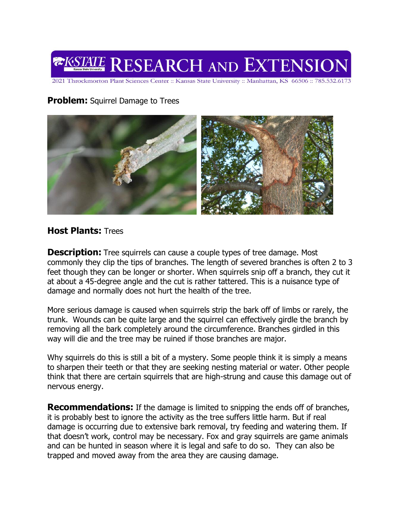

2021 Throckmorton Plant Sciences Center :: Kansas State University :: Manhattan, KS 66506 :: 785.532.6173

## **Problem:** Squirrel Damage to Trees



## **Host Plants:** Trees

**Description:** Tree squirrels can cause a couple types of tree damage. Most commonly they clip the tips of branches. The length of severed branches is often 2 to 3 feet though they can be longer or shorter. When squirrels snip off a branch, they cut it at about a 45-degree angle and the cut is rather tattered. This is a nuisance type of damage and normally does not hurt the health of the tree.

More serious damage is caused when squirrels strip the bark off of limbs or rarely, the trunk. Wounds can be quite large and the squirrel can effectively girdle the branch by removing all the bark completely around the circumference. Branches girdled in this way will die and the tree may be ruined if those branches are major.

Why squirrels do this is still a bit of a mystery. Some people think it is simply a means to sharpen their teeth or that they are seeking nesting material or water. Other people think that there are certain squirrels that are high-strung and cause this damage out of nervous energy.

**Recommendations:** If the damage is limited to snipping the ends off of branches, it is probably best to ignore the activity as the tree suffers little harm. But if real damage is occurring due to extensive bark removal, try feeding and watering them. If that doesn't work, control may be necessary. Fox and gray squirrels are game animals and can be hunted in season where it is legal and safe to do so. They can also be trapped and moved away from the area they are causing damage.